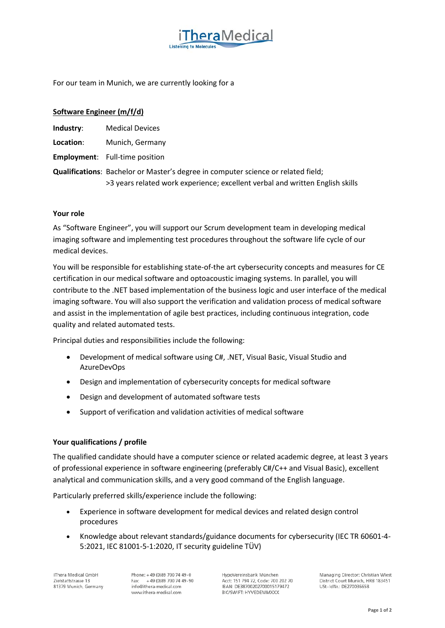For our team in Munich, we are currently looking for a

# **Software Engineer (m/f/d)**

| Industry: | <b>Medical Devices</b> |
|-----------|------------------------|
|           |                        |

**Location**: Munich, Germany

**Employment**: Full-time position

**Qualifications**: Bachelor or Master's degree in computer science or related field; >3 years related work experience; excellent verbal and written English skills

**hera** Medical

# **Your role**

As "Software Engineer", you will support our Scrum development team in developing medical imaging software and implementing test procedures throughout the software life cycle of our medical devices.

You will be responsible for establishing state-of-the art cybersecurity concepts and measures for CE certification in our medical software and optoacoustic imaging systems. In parallel, you will contribute to the .NET based implementation of the business logic and user interface of the medical imaging software. You will also support the verification and validation process of medical software and assist in the implementation of agile best practices, including continuous integration, code quality and related automated tests.

Principal duties and responsibilities include the following:

- Development of medical software using C#, .NET, Visual Basic, Visual Studio and AzureDevOps
- Design and implementation of cybersecurity concepts for medical software
- Design and development of automated software tests
- Support of verification and validation activities of medical software

# **Your qualifications / profile**

The qualified candidate should have a computer science or related academic degree, at least 3 years of professional experience in software engineering (preferably C#/C++ and Visual Basic), excellent analytical and communication skills, and a very good command of the English language.

Particularly preferred skills/experience include the following:

- Experience in software development for medical devices and related design control procedures
- Knowledge about relevant standards/guidance documents for cybersecurity (IEC TR 60601-4- 5:2021, IEC 81001-5-1:2020, IT security guideline TÜV)

iThera Medical GmbH Zielstattstrasse 13 81379 Munich, Germany Phone: +49 (0)89 700 74 49-0 +49 (0) 89 700 74 49 - 90 Fax: info@ithera-medical.com www.ithera-medical.com

HypoVereinsbank München Acct: 151 794 72, Code: 700 202 70 IBAN: DE38700202700015179472 BIC/SWIFT: HYVEDEMMXXX

Managing Director: Christian Wiest District Court Munich, HRB 183451 USt-IdNr.: DE270036658